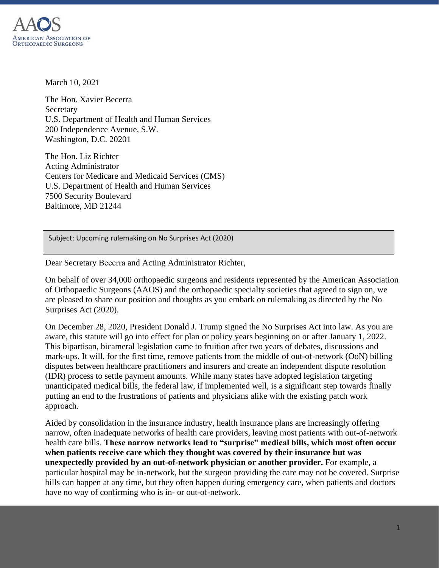

March 10, 2021

The Hon. Xavier Becerra Secretary U.S. Department of Health and Human Services 200 Independence Avenue, S.W. Washington, D.C. 20201

The Hon. Liz Richter Acting Administrator Centers for Medicare and Medicaid Services (CMS) U.S. Department of Health and Human Services 7500 Security Boulevard Baltimore, MD 21244

Subject: Upcoming rulemaking on No Surprises Act (2020)

Dear Secretary Becerra and Acting Administrator Richter,

On behalf of over 34,000 orthopaedic surgeons and residents represented by the American Association of Orthopaedic Surgeons (AAOS) and the orthopaedic specialty societies that agreed to sign on, we are pleased to share our position and thoughts as you embark on rulemaking as directed by the No Surprises Act (2020).

On December 28, 2020, President Donald J. Trump signed the No Surprises Act into law. As you are aware, this statute will go into effect for plan or policy years beginning on or after January 1, 2022. This bipartisan, bicameral legislation came to fruition after two years of debates, discussions and mark-ups. It will, for the first time, remove patients from the middle of out-of-network (OoN) billing disputes between healthcare practitioners and insurers and create an independent dispute resolution (IDR) process to settle payment amounts. While many states have adopted legislation targeting unanticipated medical bills, the federal law, if implemented well, is a significant step towards finally putting an end to the frustrations of patients and physicians alike with the existing patch work approach.

Aided by consolidation in the insurance industry, health insurance plans are increasingly offering narrow, often inadequate networks of health care providers, leaving most patients with out-of-network health care bills. **These narrow networks lead to "surprise" medical bills, which most often occur when patients receive care which they thought was covered by their insurance but was unexpectedly provided by an out-of-network physician or another provider.** For example, a particular hospital may be in-network, but the surgeon providing the care may not be covered. Surprise bills can happen at any time, but they often happen during emergency care, when patients and doctors have no way of confirming who is in- or out-of-network.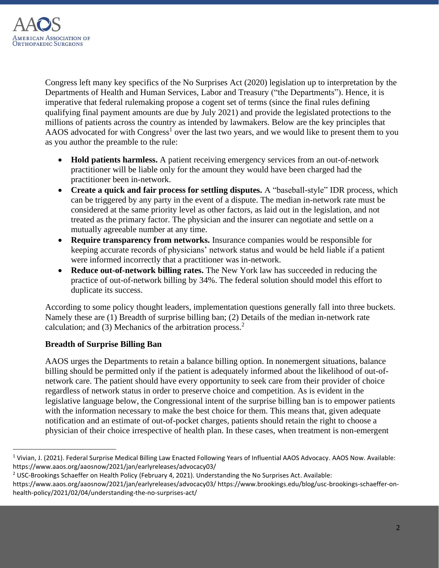

Congress left many key specifics of the No Surprises Act (2020) legislation up to interpretation by the Departments of Health and Human Services, Labor and Treasury ("the Departments"). Hence, it is imperative that federal rulemaking propose a cogent set of terms (since the final rules defining qualifying final payment amounts are due by July 2021) and provide the legislated protections to the millions of patients across the country as intended by lawmakers. Below are the key principles that AAOS advocated for with Congress<sup>1</sup> over the last two years, and we would like to present them to you as you author the preamble to the rule:

- **Hold patients harmless.** A patient receiving emergency services from an out-of-network practitioner will be liable only for the amount they would have been charged had the practitioner been in-network.
- **Create a quick and fair process for settling disputes.** A "baseball-style" IDR process, which can be triggered by any party in the event of a dispute. The median in-network rate must be considered at the same priority level as other factors, as laid out in the legislation, and not treated as the primary factor. The physician and the insurer can negotiate and settle on a mutually agreeable number at any time.
- **Require transparency from networks.** Insurance companies would be responsible for keeping accurate records of physicians' network status and would be held liable if a patient were informed incorrectly that a practitioner was in-network.
- **Reduce out-of-network billing rates.** The New York law has succeeded in reducing the practice of out-of-network billing by 34%. The federal solution should model this effort to duplicate its success.

According to some policy thought leaders, implementation questions generally fall into three buckets. Namely these are (1) Breadth of surprise billing ban; (2) Details of the median in-network rate calculation; and (3) Mechanics of the arbitration process. $<sup>2</sup>$ </sup>

## **Breadth of Surprise Billing Ban**

AAOS urges the Departments to retain a balance billing option. In nonemergent situations, balance billing should be permitted only if the patient is adequately informed about the likelihood of out-ofnetwork care. The patient should have every opportunity to seek care from their provider of choice regardless of network status in order to preserve choice and competition. As is evident in the legislative language below, the Congressional intent of the surprise billing ban is to empower patients with the information necessary to make the best choice for them. This means that, given adequate notification and an estimate of out-of-pocket charges, patients should retain the right to choose a physician of their choice irrespective of health plan. In these cases, when treatment is non-emergent

<sup>&</sup>lt;sup>1</sup> Vivian, J. (2021). Federal Surprise Medical Billing Law Enacted Following Years of Influential AAOS Advocacy. AAOS Now. Available: https://www.aaos.org/aaosnow/2021/jan/earlyreleases/advocacy03/

<sup>&</sup>lt;sup>2</sup> USC-Brookings Schaeffer on Health Policy (February 4, 2021). Understanding the No Surprises Act. Available:

https://www.aaos.org/aaosnow/2021/jan/earlyreleases/advocacy03/ https://www.brookings.edu/blog/usc-brookings-schaeffer-onhealth-policy/2021/02/04/understanding-the-no-surprises-act/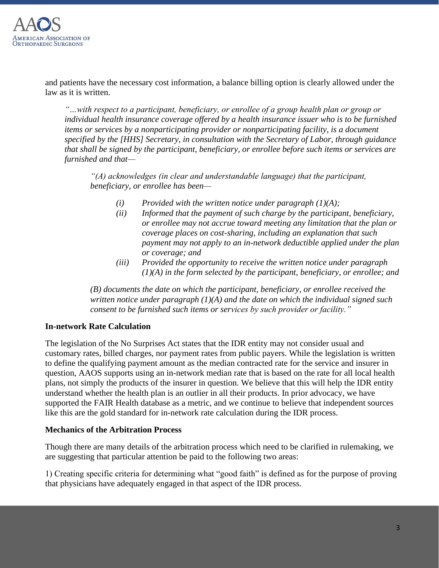

and patients have the necessary cost information, a balance billing option is clearly allowed under the law as it is written.

*"…with respect to a participant, beneficiary, or enrollee of a group health plan or group or individual health insurance coverage offered by a health insurance issuer who is to be furnished items or services by a nonparticipating provider or nonparticipating facility, is a document specified by the [HHS] Secretary, in consultation with the Secretary of Labor, through guidance that shall be signed by the participant, beneficiary, or enrollee before such items or services are furnished and that—*

*"(A) acknowledges (in clear and understandable language) that the participant, beneficiary, or enrollee has been—*

- *(i) Provided with the written notice under paragraph (1)(A);*
- *(ii) Informed that the payment of such charge by the participant, beneficiary, or enrollee may not accrue toward meeting any limitation that the plan or coverage places on cost-sharing, including an explanation that such payment may not apply to an in-network deductible applied under the plan or coverage; and*
- *(iii) Provided the opportunity to receive the written notice under paragraph (1)(A) in the form selected by the participant, beneficiary, or enrollee; and*

*(B) documents the date on which the participant, beneficiary, or enrollee received the written notice under paragraph (1)(A) and the date on which the individual signed such consent to be furnished such items or services by such provider or facility."*

## **In-network Rate Calculation**

The legislation of the No Surprises Act states that the IDR entity may not consider usual and customary rates, billed charges, nor payment rates from public payers. While the legislation is written to define the qualifying payment amount as the median contracted rate for the service and insurer in question, AAOS supports using an in-network median rate that is based on the rate for all local health plans, not simply the products of the insurer in question. We believe that this will help the IDR entity understand whether the health plan is an outlier in all their products. In prior advocacy, we have supported the FAIR Health database as a metric, and we continue to believe that independent sources like this are the gold standard for in-network rate calculation during the IDR process.

## **Mechanics of the Arbitration Process**

Though there are many details of the arbitration process which need to be clarified in rulemaking, we are suggesting that particular attention be paid to the following two areas:

1) Creating specific criteria for determining what "good faith" is defined as for the purpose of proving that physicians have adequately engaged in that aspect of the IDR process.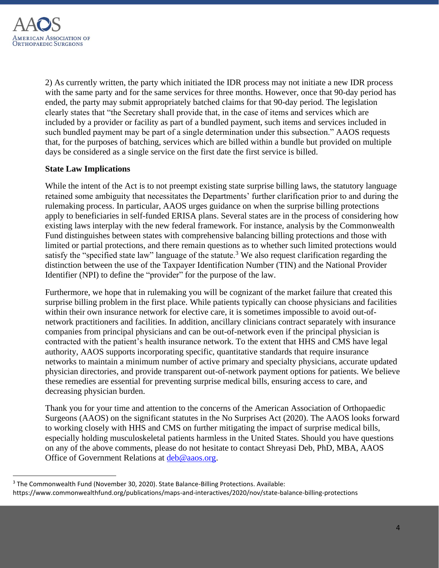

2) As currently written, the party which initiated the IDR process may not initiate a new IDR process with the same party and for the same services for three months. However, once that 90-day period has ended, the party may submit appropriately batched claims for that 90-day period. The legislation clearly states that "the Secretary shall provide that, in the case of items and services which are included by a provider or facility as part of a bundled payment, such items and services included in such bundled payment may be part of a single determination under this subsection." AAOS requests that, for the purposes of batching, services which are billed within a bundle but provided on multiple days be considered as a single service on the first date the first service is billed.

## **State Law Implications**

While the intent of the Act is to not preempt existing state surprise billing laws, the statutory language retained some ambiguity that necessitates the Departments' further clarification prior to and during the rulemaking process. In particular, AAOS urges guidance on when the surprise billing protections apply to beneficiaries in self-funded ERISA plans. Several states are in the process of considering how existing laws interplay with the new federal framework. For instance, analysis by the Commonwealth Fund distinguishes between states with comprehensive balancing billing protections and those with limited or partial protections, and there remain questions as to whether such limited protections would satisfy the "specified state law" language of the statute.<sup>3</sup> We also request clarification regarding the distinction between the use of the Taxpayer Identification Number (TIN) and the National Provider Identifier (NPI) to define the "provider" for the purpose of the law.

Furthermore, we hope that in rulemaking you will be cognizant of the market failure that created this surprise billing problem in the first place. While patients typically can choose physicians and facilities within their own insurance network for elective care, it is sometimes impossible to avoid out-ofnetwork practitioners and facilities. In addition, ancillary clinicians contract separately with insurance companies from principal physicians and can be out-of-network even if the principal physician is contracted with the patient's health insurance network. To the extent that HHS and CMS have legal authority, AAOS supports incorporating specific, quantitative standards that require insurance networks to maintain a minimum number of active primary and specialty physicians, accurate updated physician directories, and provide transparent out-of-network payment options for patients. We believe these remedies are essential for preventing surprise medical bills, ensuring access to care, and decreasing physician burden.

Thank you for your time and attention to the concerns of the American Association of Orthopaedic Surgeons (AAOS) on the significant statutes in the No Surprises Act (2020). The AAOS looks forward to working closely with HHS and CMS on further mitigating the impact of surprise medical bills, especially holding musculoskeletal patients harmless in the United States. Should you have questions on any of the above comments, please do not hesitate to contact Shreyasi Deb, PhD, MBA, AAOS Office of Government Relations at [deb@aaos.org.](mailto:deb@aaos.org)

<sup>&</sup>lt;sup>3</sup> The Commonwealth Fund (November 30, 2020). State Balance-Billing Protections. Available: https://www.commonwealthfund.org/publications/maps-and-interactives/2020/nov/state-balance-billing-protections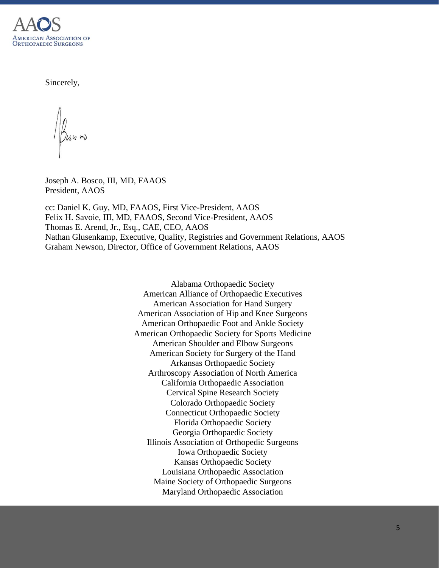

Sincerely,

Ush m

Joseph A. Bosco, III, MD, FAAOS President, AAOS

cc: Daniel K. Guy, MD, FAAOS, First Vice-President, AAOS Felix H. Savoie, III, MD, FAAOS, Second Vice-President, AAOS Thomas E. Arend, Jr., Esq., CAE, CEO, AAOS Nathan Glusenkamp, Executive, Quality, Registries and Government Relations, AAOS Graham Newson, Director, Office of Government Relations, AAOS

> Alabama Orthopaedic Society American Alliance of Orthopaedic Executives American Association for Hand Surgery American Association of Hip and Knee Surgeons American Orthopaedic Foot and Ankle Society American Orthopaedic Society for Sports Medicine American Shoulder and Elbow Surgeons American Society for Surgery of the Hand Arkansas Orthopaedic Society Arthroscopy Association of North America California Orthopaedic Association Cervical Spine Research Society Colorado Orthopaedic Society Connecticut Orthopaedic Society Florida Orthopaedic Society Georgia Orthopaedic Society Illinois Association of Orthopedic Surgeons Iowa Orthopaedic Society Kansas Orthopaedic Society Louisiana Orthopaedic Association Maine Society of Orthopaedic Surgeons Maryland Orthopaedic Association